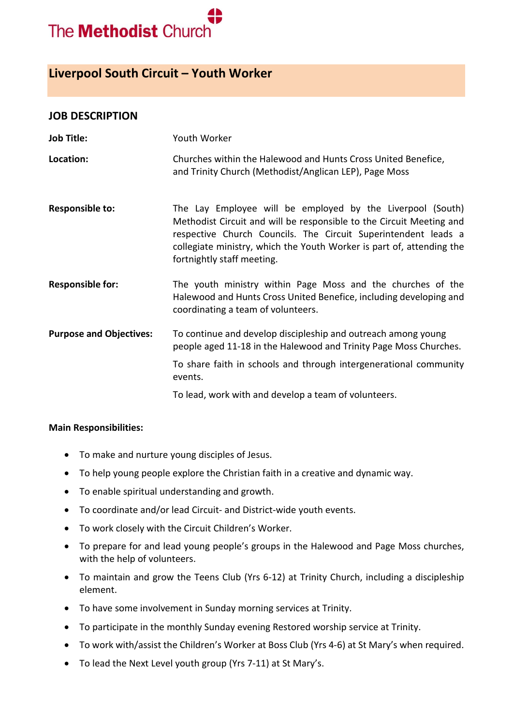

# **Liverpool South Circuit – Youth Worker**

#### **JOB DESCRIPTION**

| <b>Job Title:</b>              | Youth Worker                                                                                                                                                                                                                                                                                                |
|--------------------------------|-------------------------------------------------------------------------------------------------------------------------------------------------------------------------------------------------------------------------------------------------------------------------------------------------------------|
| Location:                      | Churches within the Halewood and Hunts Cross United Benefice,<br>and Trinity Church (Methodist/Anglican LEP), Page Moss                                                                                                                                                                                     |
| <b>Responsible to:</b>         | The Lay Employee will be employed by the Liverpool (South)<br>Methodist Circuit and will be responsible to the Circuit Meeting and<br>respective Church Councils. The Circuit Superintendent leads a<br>collegiate ministry, which the Youth Worker is part of, attending the<br>fortnightly staff meeting. |
| <b>Responsible for:</b>        | The youth ministry within Page Moss and the churches of the<br>Halewood and Hunts Cross United Benefice, including developing and<br>coordinating a team of volunteers.                                                                                                                                     |
| <b>Purpose and Objectives:</b> | To continue and develop discipleship and outreach among young<br>people aged 11-18 in the Halewood and Trinity Page Moss Churches.                                                                                                                                                                          |
|                                | To share faith in schools and through intergenerational community<br>events.                                                                                                                                                                                                                                |
|                                | To lead, work with and develop a team of volunteers.                                                                                                                                                                                                                                                        |

#### **Main Responsibilities:**

- To make and nurture young disciples of Jesus.
- To help young people explore the Christian faith in a creative and dynamic way.
- To enable spiritual understanding and growth.
- To coordinate and/or lead Circuit- and District-wide youth events.
- To work closely with the Circuit Children's Worker.
- To prepare for and lead young people's groups in the Halewood and Page Moss churches, with the help of volunteers.
- To maintain and grow the Teens Club (Yrs 6-12) at Trinity Church, including a discipleship element.
- To have some involvement in Sunday morning services at Trinity.
- To participate in the monthly Sunday evening Restored worship service at Trinity.
- To work with/assist the Children's Worker at Boss Club (Yrs 4-6) at St Mary's when required.
- To lead the Next Level youth group (Yrs 7-11) at St Mary's.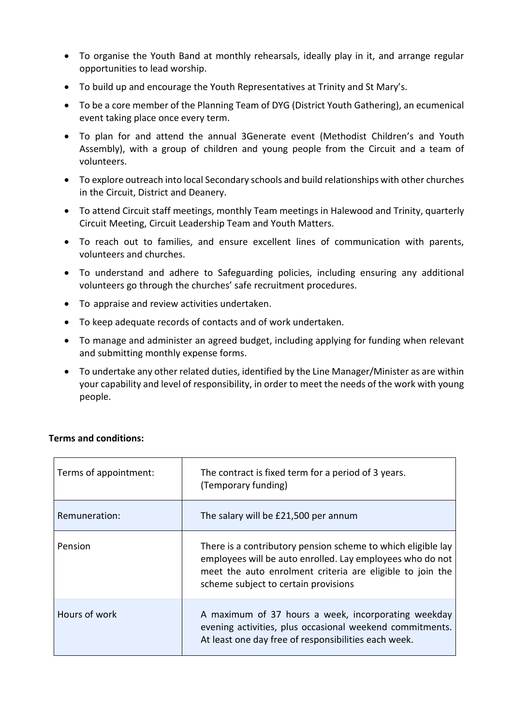- To organise the Youth Band at monthly rehearsals, ideally play in it, and arrange regular opportunities to lead worship.
- To build up and encourage the Youth Representatives at Trinity and St Mary's.
- To be a core member of the Planning Team of DYG (District Youth Gathering), an ecumenical event taking place once every term.
- To plan for and attend the annual 3Generate event (Methodist Children's and Youth Assembly), with a group of children and young people from the Circuit and a team of volunteers.
- To explore outreach into local Secondary schools and build relationships with other churches in the Circuit, District and Deanery.
- To attend Circuit staff meetings, monthly Team meetings in Halewood and Trinity, quarterly Circuit Meeting, Circuit Leadership Team and Youth Matters.
- To reach out to families, and ensure excellent lines of communication with parents, volunteers and churches.
- To understand and adhere to Safeguarding policies, including ensuring any additional volunteers go through the churches' safe recruitment procedures.
- To appraise and review activities undertaken.
- To keep adequate records of contacts and of work undertaken.
- To manage and administer an agreed budget, including applying for funding when relevant and submitting monthly expense forms.
- To undertake any other related duties, identified by the Line Manager/Minister as are within your capability and level of responsibility, in order to meet the needs of the work with young people.

| Terms of appointment: | The contract is fixed term for a period of 3 years.<br>(Temporary funding)                                                                                                                                                     |
|-----------------------|--------------------------------------------------------------------------------------------------------------------------------------------------------------------------------------------------------------------------------|
| Remuneration:         | The salary will be £21,500 per annum                                                                                                                                                                                           |
| Pension               | There is a contributory pension scheme to which eligible lay<br>employees will be auto enrolled. Lay employees who do not<br>meet the auto enrolment criteria are eligible to join the<br>scheme subject to certain provisions |
| Hours of work         | A maximum of 37 hours a week, incorporating weekday<br>evening activities, plus occasional weekend commitments.<br>At least one day free of responsibilities each week.                                                        |

## **Terms and conditions:**